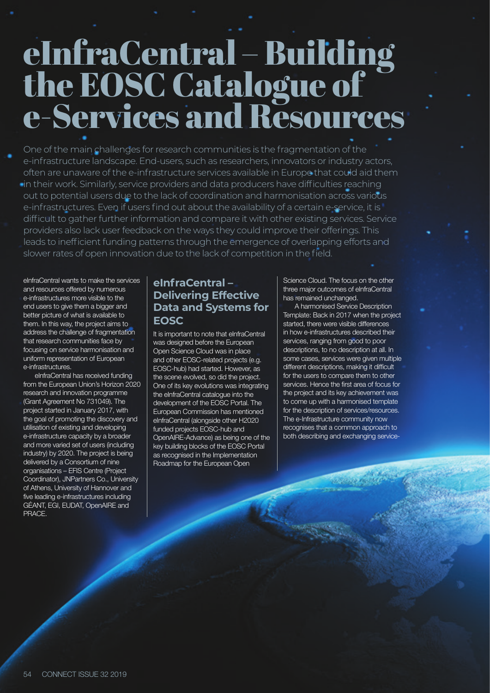## eInfraCentral – Building the EOSC Catalogue of e-Services and Resources

One of the main challenges for research communities is the fragmentation of the e-infrastructure landscape. End-users, such as researchers, innovators or industry actors, often are unaware of the e-infrastructure services available in Europe that could aid them in their work. Similarly, service providers and data producers have difficulties reaching out to potential users due to the lack of coordination and harmonisation across various e-infrastructures. Even if users find out about the availability of a certain e-service, it is difficult to gather further information and compare it with other existing services. Service providers also lack user feedback on the ways they could improve their offerings. This leads to inefficient funding patterns through the emergence of overlapping efforts and slower rates of open innovation due to the lack of competition in the field.

eInfraCentral wants to make the services and resources offered by numerous e-infrastructures more visible to the end users to give them a bigger and better picture of what is available to them. In this way, the project aims to address the challenge of fragmentation that research communities face by focusing on service harmonisation and uniform representation of European e-infrastructures.

eInfraCentral has received funding from the European Union's Horizon 2020 research and innovation programme (Grant Agreement No 731049). The project started in January 2017, with the goal of promoting the discovery and utilisation of existing and developing e-infrastructure capacity by a broader and more varied set of users (including industry) by 2020. The project is being delivered by a Consortium of nine organisations – EFIS Centre (Project Coordinator), JNPartners Co., University of Athens, University of Hannover and five leading e-infrastructures including GÉANT, EGI, EUDAT, OpenAIRE and PRACE.

## **eInfraCentral – Delivering Effective Data and Systems for EOSC**

It is important to note that eInfraCentral was designed before the European Open Science Cloud was in place and other EOSC-related projects (e.g. EOSC-hub) had started. However, as the scene evolved, so did the project. One of its key evolutions was integrating the eInfraCentral catalogue into the development of the EOSC Portal. The European Commission has mentioned eInfraCentral (alongside other H2020 funded projects EOSC-hub and OpenAIRE-Advance) as being one of the key building blocks of the EOSC Portal as recognised in the Implementation Roadmap for the European Open

Science Cloud. The focus on the other three major outcomes of eInfraCentral has remained unchanged.

A harmonised Service Description Template: Back in 2017 when the project started, there were visible differences in how e-infrastructures described their services, ranging from good to poor descriptions, to no description at all. In some cases, services were given multiple different descriptions, making it difficult for the users to compare them to other services. Hence the first area of focus for the project and its key achievement was to come up with a harmonised template for the description of services/resources. The e-Infrastructure community now recognises that a common approach to both describing and exchanging service